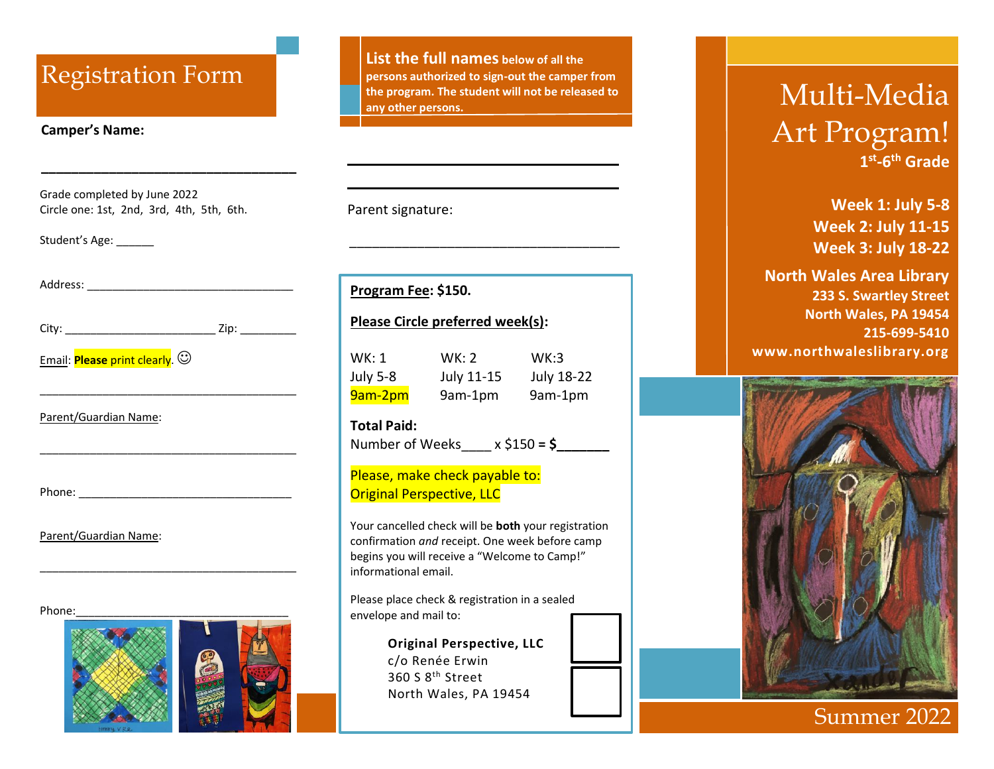## **Camper's Name:**

Grade completed by June 2022 Circle one: 1st, 2nd, 3rd, 4th, 5th, 6th.

**\_\_\_\_\_\_\_\_\_\_\_\_\_\_\_\_\_\_\_\_\_\_\_\_\_\_\_\_\_\_\_\_\_\_**

Student's Age: \_\_\_\_\_\_\_

| $\epsilon$<br>ïtv∙<br>---- | →: |
|----------------------------|----|
|                            |    |

\_\_\_\_\_\_\_\_\_\_\_\_\_\_\_\_\_\_\_\_\_\_\_\_\_\_\_\_\_\_\_\_\_\_\_\_\_\_\_\_\_

\_\_\_\_\_\_\_\_\_\_\_\_\_\_\_\_\_\_\_\_\_\_\_\_\_\_\_\_\_\_\_\_\_\_\_\_\_\_\_\_\_

\_\_\_\_\_\_\_\_\_\_\_\_\_\_\_\_\_\_\_\_\_\_\_\_\_\_\_\_\_\_\_\_\_\_\_\_\_\_\_\_\_

Email: **Please** print clearly.  $\odot$ 

Parent/Guardian Name:

Phone: \_\_\_\_\_\_\_\_\_\_\_\_\_\_\_\_\_\_\_\_\_\_\_\_\_\_\_\_\_\_\_\_\_\_

Parent/Guardian Name:

Phone:



Registration Form Persons authorized to sign-out the camper from<br>the program. The student will not be released to<br>Multi-Media **List the full names below of all the persons authorized to sign-out the camper from the program. The student will not be released to any other persons.**

\_\_\_\_\_\_\_\_\_\_\_\_\_\_\_\_\_\_\_\_\_\_\_\_\_\_\_\_\_\_\_\_\_\_\_\_

Parent signature:

**Program Fee: \$150.** 

## **Please Circle preferred week(s):**

| WK: 1           | WK: 2      | WK:3              |
|-----------------|------------|-------------------|
| <b>July 5-8</b> | July 11-15 | <b>July 18-22</b> |
| 9am-2pm         | 9am-1pm    | 9am-1pm           |

## **Total Paid:**

Number of Weeks  $x \le 150 = $$ 

## Please, make check payable to: Original Perspective, LLC

Your cancelled check will be **both** your registration confirmation *and* receipt. One week before camp begins you will receive a "Welcome to Camp!" informational email.

Please place check & registration in a sealed envelope and mail to:

> **Original Perspective, LLC** c/o Renée Erwin 360 S 8th Street North Wales, PA 19454

# Art Program! **1 st -6 th Grade**

 **Week 1: July 5-8 Week 2: July 11-15 Week 3: July 18-22**

**North Wales Area Library 233 S. Swartley Street North Wales, PA 19454 215-699-5410 www.northwaleslibrary.org**



## Summer 202